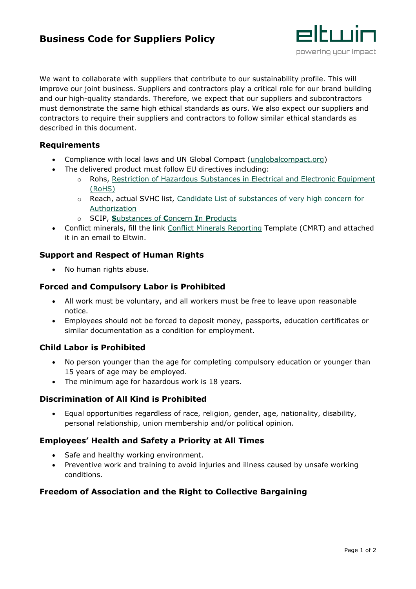# **Business Code for Suppliers Policy**



We want to collaborate with suppliers that contribute to our sustainability profile. This will improve our joint business. Suppliers and contractors play a critical role for our brand building and our high-quality standards. Therefore, we expect that our suppliers and subcontractors must demonstrate the same high ethical standards as ours. We also expect our suppliers and contractors to require their suppliers and contractors to follow similar ethical standards as described in this document.

### **Requirements**

- Compliance with local laws and UN Global Compact [\(unglobalcompact.org\)](http://www.unglobalcompact.org/)
- The delivered product must follow EU directives including:
	- o Rohs, [Restriction of Hazardous Substances in Electrical and Electronic Equipment](https://ec.europa.eu/environment/topics/waste-and-recycling/rohs-directive_en)  [\(RoHS\)](https://ec.europa.eu/environment/topics/waste-and-recycling/rohs-directive_en)
	- o Reach, actual SVHC list, [Candidate List of substances of very high concern for](https://echa.europa.eu/candidate-list-table)  [Authorization](https://echa.europa.eu/candidate-list-table)
	- o SCIP, **S**[ubstances of](https://echa.europa.eu/scip) **C**oncern **I**n **P**roducts
- Conflict minerals, fill the link [Conflict Minerals Reporting](http://www.responsiblemineralsinitiative.org/reporting-templates/cmrt/) Template (CMRT) and attached it in an email to Eltwin.

# **Support and Respect of Human Rights**

• No human rights abuse.

# **Forced and Compulsory Labor is Prohibited**

- All work must be voluntary, and all workers must be free to leave upon reasonable notice.
- Employees should not be forced to deposit money, passports, education certificates or similar documentation as a condition for employment.

# **Child Labor is Prohibited**

- No person younger than the age for completing compulsory education or younger than 15 years of age may be employed.
- The minimum age for hazardous work is 18 years.

#### **Discrimination of All Kind is Prohibited**

• Equal opportunities regardless of race, religion, gender, age, nationality, disability, personal relationship, union membership and/or political opinion.

#### **Employees' Health and Safety a Priority at All Times**

- Safe and healthy working environment.
- Preventive work and training to avoid injuries and illness caused by unsafe working conditions.

# **Freedom of Association and the Right to Collective Bargaining**